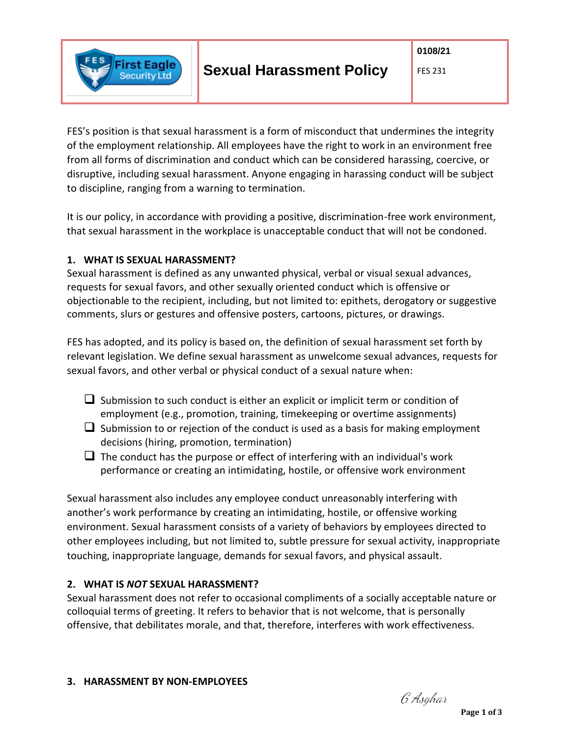

# **Sexual Harassment Policy**

#### FES 231

FES's position is that sexual harassment is a form of misconduct that undermines the integrity of the employment relationship. All employees have the right to work in an environment free from all forms of discrimination and conduct which can be considered harassing, coercive, or disruptive, including sexual harassment. Anyone engaging in harassing conduct will be subject to discipline, ranging from a warning to termination.

It is our policy, in accordance with providing a positive, discrimination-free work environment, that sexual harassment in the workplace is unacceptable conduct that will not be condoned.

### **1. WHAT IS SEXUAL HARASSMENT?**

Sexual harassment is defined as any unwanted physical, verbal or visual sexual advances, requests for sexual favors, and other sexually oriented conduct which is offensive or objectionable to the recipient, including, but not limited to: epithets, derogatory or suggestive comments, slurs or gestures and offensive posters, cartoons, pictures, or drawings.

FES has adopted, and its policy is based on, the definition of sexual harassment set forth by relevant legislation. We define sexual harassment as unwelcome sexual advances, requests for sexual favors, and other verbal or physical conduct of a sexual nature when:

- $\Box$  Submission to such conduct is either an explicit or implicit term or condition of employment (e.g., promotion, training, timekeeping or overtime assignments)
- $\Box$  Submission to or rejection of the conduct is used as a basis for making employment decisions (hiring, promotion, termination)
- $\Box$  The conduct has the purpose or effect of interfering with an individual's work performance or creating an intimidating, hostile, or offensive work environment

Sexual harassment also includes any employee conduct unreasonably interfering with another's work performance by creating an intimidating, hostile, or offensive working environment. Sexual harassment consists of a variety of behaviors by employees directed to other employees including, but not limited to, subtle pressure for sexual activity, inappropriate touching, inappropriate language, demands for sexual favors, and physical assault.

## **2. WHAT IS** *NOT* **SEXUAL HARASSMENT?**

Sexual harassment does not refer to occasional compliments of a socially acceptable nature or colloquial terms of greeting. It refers to behavior that is not welcome, that is personally offensive, that debilitates morale, and that, therefore, interferes with work effectiveness.

G Asghar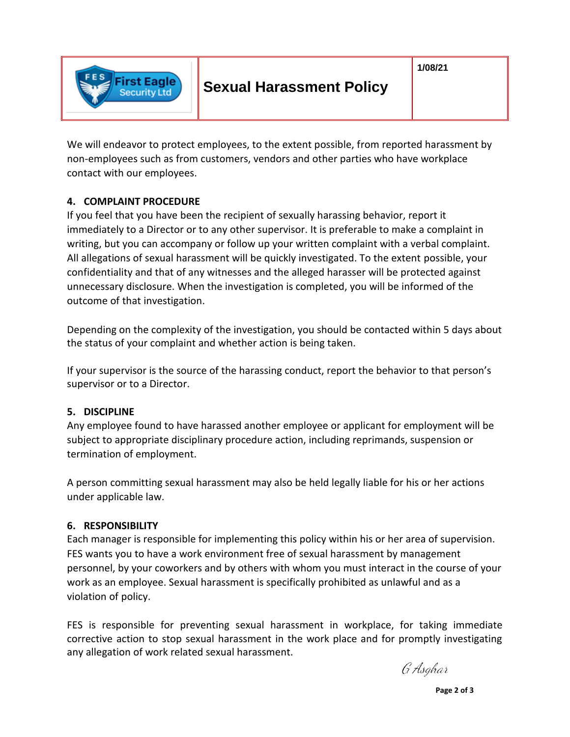

# **Sexual Harassment Policy**

We will endeavor to protect employees, to the extent possible, from reported harassment by non-employees such as from customers, vendors and other parties who have workplace contact with our employees.

#### **4. COMPLAINT PROCEDURE**

First Eagle ecurity Ltd

If you feel that you have been the recipient of sexually harassing behavior, report it immediately to a Director or to any other supervisor. It is preferable to make a complaint in writing, but you can accompany or follow up your written complaint with a verbal complaint. All allegations of sexual harassment will be quickly investigated. To the extent possible, your confidentiality and that of any witnesses and the alleged harasser will be protected against unnecessary disclosure. When the investigation is completed, you will be informed of the outcome of that investigation.

Depending on the complexity of the investigation, you should be contacted within 5 days about the status of your complaint and whether action is being taken.

If your supervisor is the source of the harassing conduct, report the behavior to that person's supervisor or to a Director.

#### **5. DISCIPLINE**

Any employee found to have harassed another employee or applicant for employment will be subject to appropriate disciplinary procedure action, including reprimands, suspension or termination of employment.

A person committing sexual harassment may also be held legally liable for his or her actions under applicable law.

#### **6. RESPONSIBILITY**

Each manager is responsible for implementing this policy within his or her area of supervision. FES wants you to have a work environment free of sexual harassment by management personnel, by your coworkers and by others with whom you must interact in the course of your work as an employee. Sexual harassment is specifically prohibited as unlawful and as a violation of policy.

FES is responsible for preventing sexual harassment in workplace, for taking immediate corrective action to stop sexual harassment in the work place and for promptly investigating any allegation of work related sexual harassment.

G Asghar